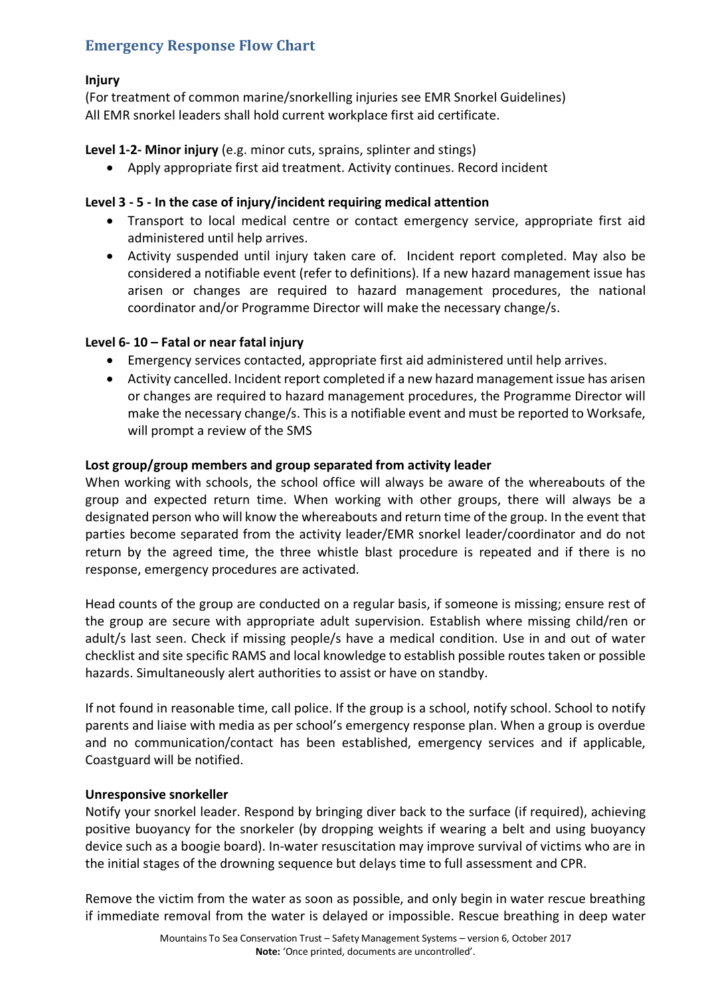# **Emergency Response Flow Chart**

# **Injury**

(For treatment of common marine/snorkelling injuries see EMR Snorkel Guidelines) All EMR snorkel leaders shall hold current workplace first aid certificate.

# **Level 1-2- Minor injury** (e.g. minor cuts, sprains, splinter and stings)

• Apply appropriate first aid treatment. Activity continues. Record incident

## **Level 3 - 5 - In the case of injury/incident requiring medical attention**

- Transport to local medical centre or contact emergency service, appropriate first aid administered until help arrives.
- Activity suspended until injury taken care of. Incident report completed. May also be considered a notifiable event (refer to definitions). If a new hazard management issue has arisen or changes are required to hazard management procedures, the national coordinator and/or Programme Director will make the necessary change/s.

## **Level 6- 10 – Fatal or near fatal injury**

- Emergency services contacted, appropriate first aid administered until help arrives.
- Activity cancelled. Incident report completed if a new hazard management issue has arisen or changes are required to hazard management procedures, the Programme Director will make the necessary change/s. This is a notifiable event and must be reported to Worksafe, will prompt a review of the SMS

# **Lost group/group members and group separated from activity leader**

When working with schools, the school office will always be aware of the whereabouts of the group and expected return time. When working with other groups, there will always be a designated person who will know the whereabouts and return time of the group. In the event that parties become separated from the activity leader/EMR snorkel leader/coordinator and do not return by the agreed time, the three whistle blast procedure is repeated and if there is no response, emergency procedures are activated.

Head counts of the group are conducted on a regular basis, if someone is missing; ensure rest of the group are secure with appropriate adult supervision. Establish where missing child/ren or adult/s last seen. Check if missing people/s have a medical condition. Use in and out of water checklist and site specific RAMS and local knowledge to establish possible routes taken or possible hazards. Simultaneously alert authorities to assist or have on standby.

If not found in reasonable time, call police. If the group is a school, notify school. School to notify parents and liaise with media as per school's emergency response plan. When a group is overdue and no communication/contact has been established, emergency services and if applicable, Coastguard will be notified.

## **Unresponsive snorkeller**

Notify your snorkel leader. Respond by bringing diver back to the surface (if required), achieving positive buoyancy for the snorkeler (by dropping weights if wearing a belt and using buoyancy device such as a boogie board). In-water resuscitation may improve survival of victims who are in the initial stages of the drowning sequence but delays time to full assessment and CPR.

Remove the victim from the water as soon as possible, and only begin in water rescue breathing if immediate removal from the water is delayed or impossible. Rescue breathing in deep water